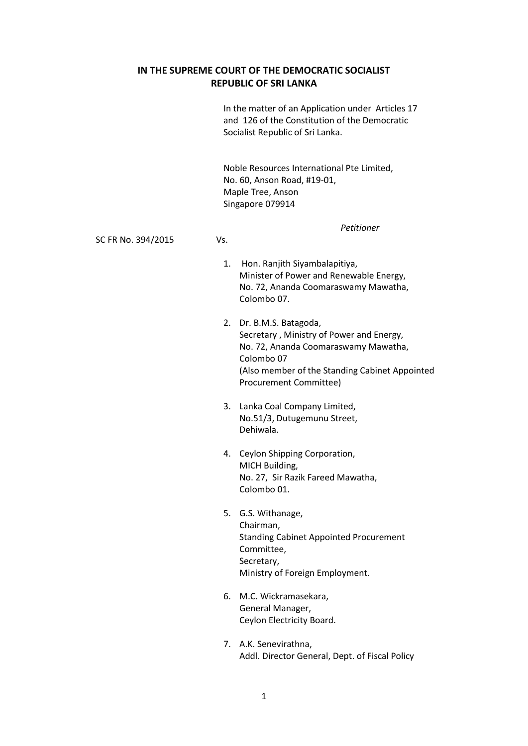## **IN THE SUPREME COURT OF THE DEMOCRATIC SOCIALIST REPUBLIC OF SRI LANKA**

In the matter of an Application under Articles 17 and 126 of the Constitution of the Democratic Socialist Republic of Sri Lanka.

Noble Resources International Pte Limited, No. 60, Anson Road, #19-01, Maple Tree, Anson Singapore 079914

SC FR No. 394/2015 Vs.

*Petitioner*

- 1. Hon. Ranjith Siyambalapitiya, Minister of Power and Renewable Energy, No. 72, Ananda Coomaraswamy Mawatha, Colombo 07.
- 2. Dr. B.M.S. Batagoda, Secretary , Ministry of Power and Energy, No. 72, Ananda Coomaraswamy Mawatha, Colombo 07 (Also member of the Standing Cabinet Appointed Procurement Committee)
- 3. Lanka Coal Company Limited, No.51/3, Dutugemunu Street, Dehiwala.
- 4. Ceylon Shipping Corporation, MICH Building, No. 27, Sir Razik Fareed Mawatha, Colombo 01.
- 5. G.S. Withanage, Chairman, Standing Cabinet Appointed Procurement Committee, Secretary, Ministry of Foreign Employment.
- 6. M.C. Wickramasekara, General Manager, Ceylon Electricity Board.
- 7. A.K. Senevirathna, Addl. Director General, Dept. of Fiscal Policy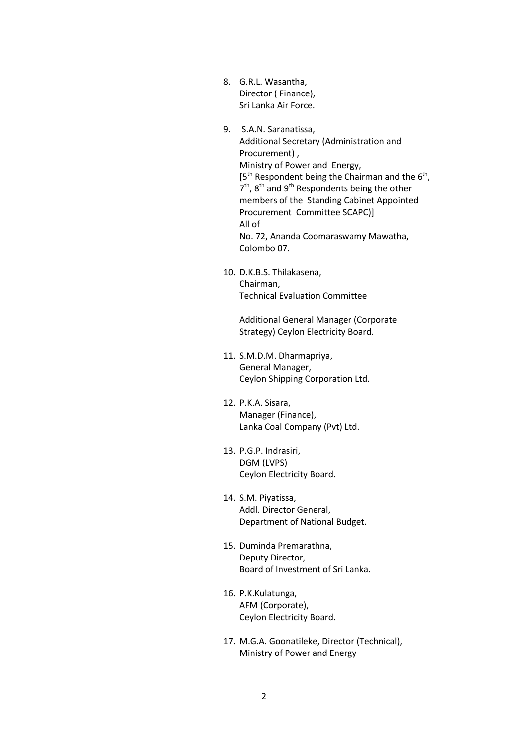- 8. G.R.L. Wasantha, Director ( Finance), Sri Lanka Air Force.
- 9. S.A.N. Saranatissa, Additional Secretary (Administration and Procurement) , Ministry of Power and Energy,  $[5<sup>th</sup>$  Respondent being the Chairman and the  $6<sup>th</sup>$ ,  $7<sup>th</sup>$ , 8<sup>th</sup> and 9<sup>th</sup> Respondents being the other members of the Standing Cabinet Appointed Procurement Committee SCAPC)] All of No. 72, Ananda Coomaraswamy Mawatha, Colombo 07.
- 10. D.K.B.S. Thilakasena, Chairman, Technical Evaluation Committee

Additional General Manager (Corporate Strategy) Ceylon Electricity Board.

- 11. S.M.D.M. Dharmapriya, General Manager, Ceylon Shipping Corporation Ltd.
- 12. P.K.A. Sisara, Manager (Finance), Lanka Coal Company (Pvt) Ltd.
- 13. P.G.P. Indrasiri, DGM (LVPS) Ceylon Electricity Board.
- 14. S.M. Piyatissa, Addl. Director General, Department of National Budget.
- 15. Duminda Premarathna, Deputy Director, Board of Investment of Sri Lanka.
- 16. P.K.Kulatunga, AFM (Corporate), Ceylon Electricity Board.
- 17. M.G.A. Goonatileke, Director (Technical), Ministry of Power and Energy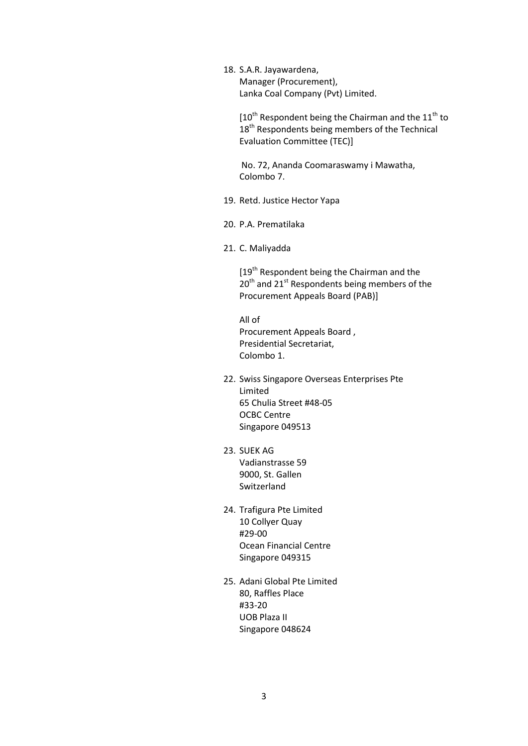18. S.A.R. Jayawardena, Manager (Procurement), Lanka Coal Company (Pvt) Limited.

> $[10^{th}$  Respondent being the Chairman and the  $11^{th}$  to 18<sup>th</sup> Respondents being members of the Technical Evaluation Committee (TEC)]

No. 72, Ananda Coomaraswamy i Mawatha, Colombo 7.

- 19. Retd. Justice Hector Yapa
- 20. P.A. Prematilaka
- 21. C. Maliyadda

[19<sup>th</sup> Respondent being the Chairman and the 20<sup>th</sup> and 21<sup>st</sup> Respondents being members of the Procurement Appeals Board (PAB)]

All of Procurement Appeals Board , Presidential Secretariat, Colombo 1.

- 22. Swiss Singapore Overseas Enterprises Pte Limited 65 Chulia Street #48-05 OCBC Centre Singapore 049513
- 23. SUEK AG Vadianstrasse 59 9000, St. Gallen Switzerland
- 24. Trafigura Pte Limited 10 Collyer Quay #29-00 Ocean Financial Centre Singapore 049315
- 25. Adani Global Pte Limited 80, Raffles Place #33-20 UOB Plaza II Singapore 048624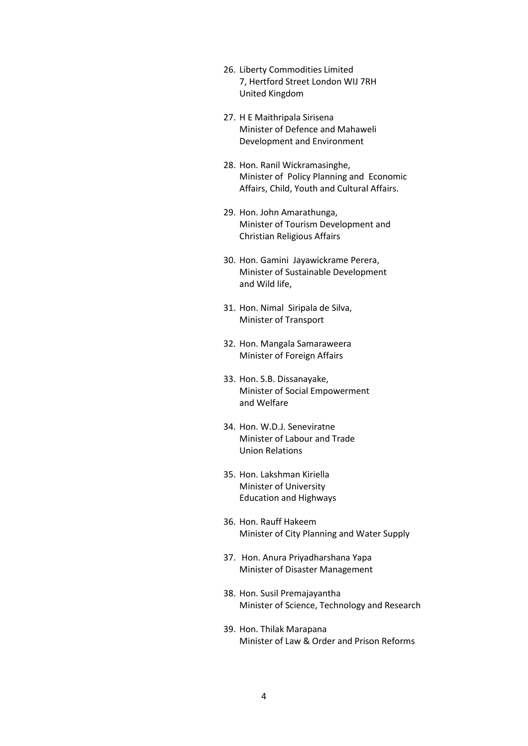- 26. Liberty Commodities Limited 7, Hertford Street London WIJ 7RH United Kingdom
- 27. H E Maithripala Sirisena Minister of Defence and Mahaweli Development and Environment
- 28. Hon. Ranil Wickramasinghe, Minister of Policy Planning and Economic Affairs, Child, Youth and Cultural Affairs.
- 29. Hon. John Amarathunga, Minister of Tourism Development and Christian Religious Affairs
- 30. Hon. Gamini Jayawickrame Perera, Minister of Sustainable Development and Wild life,
- 31. Hon. Nimal Siripala de Silva, Minister of Transport
- 32. Hon. Mangala Samaraweera Minister of Foreign Affairs
- 33. Hon. S.B. Dissanayake, Minister of Social Empowerment and Welfare
- 34. Hon. W.D.J. Seneviratne Minister of Labour and Trade Union Relations
- 35. Hon. Lakshman Kiriella Minister of University Education and Highways
- 36. Hon. Rauff Hakeem Minister of City Planning and Water Supply
- 37. Hon. Anura Priyadharshana Yapa Minister of Disaster Management
- 38. Hon. Susil Premajayantha Minister of Science, Technology and Research
- 39. Hon. Thilak Marapana Minister of Law & Order and Prison Reforms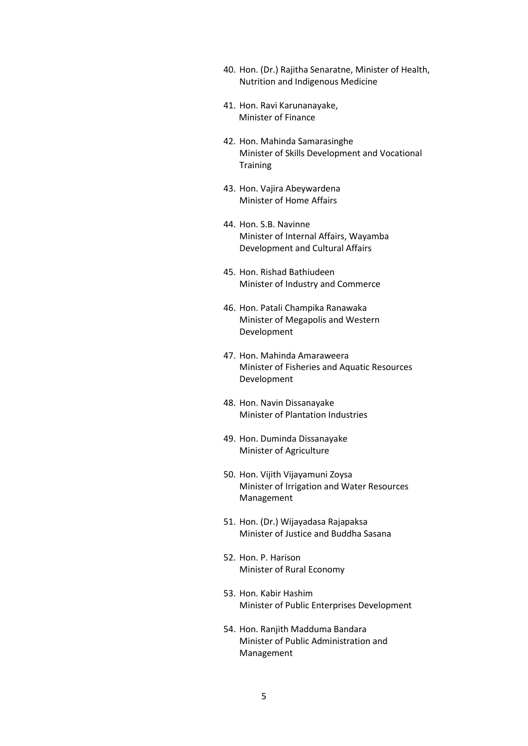- 40. Hon. (Dr.) Rajitha Senaratne, Minister of Health, Nutrition and Indigenous Medicine
- 41. Hon. Ravi Karunanayake, Minister of Finance
- 42. Hon. Mahinda Samarasinghe Minister of Skills Development and Vocational **Training**
- 43. Hon. Vajira Abeywardena Minister of Home Affairs
- 44. Hon. S.B. Navinne Minister of Internal Affairs, Wayamba Development and Cultural Affairs
- 45. Hon. Rishad Bathiudeen Minister of Industry and Commerce
- 46. Hon. Patali Champika Ranawaka Minister of Megapolis and Western Development
- 47. Hon. Mahinda Amaraweera Minister of Fisheries and Aquatic Resources Development
- 48. Hon. Navin Dissanayake Minister of Plantation Industries
- 49. Hon. Duminda Dissanayake Minister of Agriculture
- 50. Hon. Vijith Vijayamuni Zoysa Minister of Irrigation and Water Resources Management
- 51. Hon. (Dr.) Wijayadasa Rajapaksa Minister of Justice and Buddha Sasana
- 52. Hon. P. Harison Minister of Rural Economy
- 53. Hon. Kabir Hashim Minister of Public Enterprises Development
- 54. Hon. Ranjith Madduma Bandara Minister of Public Administration and Management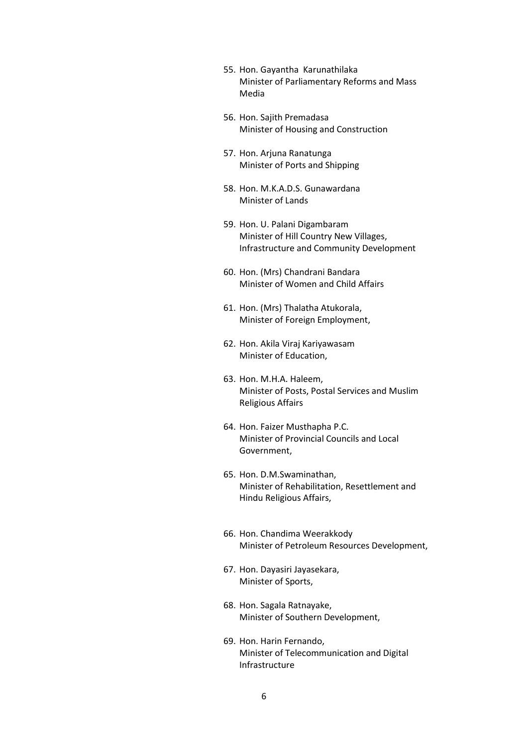- 55. Hon. Gayantha Karunathilaka Minister of Parliamentary Reforms and Mass Media
- 56. Hon. Sajith Premadasa Minister of Housing and Construction
- 57. Hon. Arjuna Ranatunga Minister of Ports and Shipping
- 58. Hon. M.K.A.D.S. Gunawardana Minister of Lands
- 59. Hon. U. Palani Digambaram Minister of Hill Country New Villages, Infrastructure and Community Development
- 60. Hon. (Mrs) Chandrani Bandara Minister of Women and Child Affairs
- 61. Hon. (Mrs) Thalatha Atukorala, Minister of Foreign Employment,
- 62. Hon. Akila Viraj Kariyawasam Minister of Education,
- 63. Hon. M.H.A. Haleem, Minister of Posts, Postal Services and Muslim Religious Affairs
- 64. Hon. Faizer Musthapha P.C. Minister of Provincial Councils and Local Government,
- 65. Hon. D.M.Swaminathan, Minister of Rehabilitation, Resettlement and Hindu Religious Affairs,
- 66. Hon. Chandima Weerakkody Minister of Petroleum Resources Development,
- 67. Hon. Dayasiri Jayasekara, Minister of Sports,
- 68. Hon. Sagala Ratnayake, Minister of Southern Development,
- 69. Hon. Harin Fernando, Minister of Telecommunication and Digital Infrastructure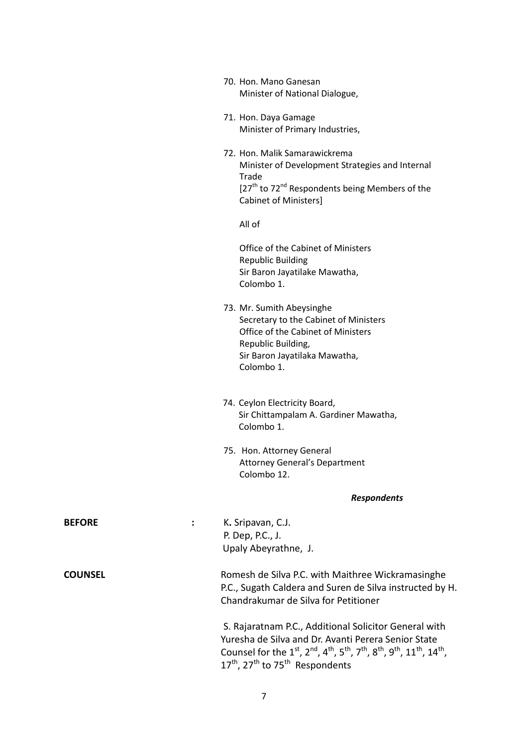|                    | 70. Hon. Mano Ganesan<br>Minister of National Dialogue,                                                                                                                                                                                                                                              |                    |
|--------------------|------------------------------------------------------------------------------------------------------------------------------------------------------------------------------------------------------------------------------------------------------------------------------------------------------|--------------------|
|                    | 71. Hon. Daya Gamage<br>Minister of Primary Industries,                                                                                                                                                                                                                                              |                    |
|                    | 72. Hon. Malik Samarawickrema<br>Minister of Development Strategies and Internal<br>Trade<br>[27 <sup>th</sup> to 72 <sup>nd</sup> Respondents being Members of the<br><b>Cabinet of Ministers]</b>                                                                                                  |                    |
|                    | All of                                                                                                                                                                                                                                                                                               |                    |
|                    | Office of the Cabinet of Ministers<br><b>Republic Building</b><br>Sir Baron Jayatilake Mawatha,<br>Colombo 1.                                                                                                                                                                                        |                    |
|                    | 73. Mr. Sumith Abeysinghe<br>Secretary to the Cabinet of Ministers<br>Office of the Cabinet of Ministers<br>Republic Building,<br>Sir Baron Jayatilaka Mawatha,<br>Colombo 1.                                                                                                                        |                    |
|                    | 74. Ceylon Electricity Board,<br>Sir Chittampalam A. Gardiner Mawatha,<br>Colombo 1.                                                                                                                                                                                                                 |                    |
|                    | 75. Hon. Attorney General<br><b>Attorney General's Department</b><br>Colombo 12.                                                                                                                                                                                                                     |                    |
|                    |                                                                                                                                                                                                                                                                                                      | <b>Respondents</b> |
| <b>BEFORE</b><br>÷ | K. Sripavan, C.J.<br>P. Dep, P.C., J.<br>Upaly Abeyrathne, J.                                                                                                                                                                                                                                        |                    |
| <b>COUNSEL</b>     | Romesh de Silva P.C. with Maithree Wickramasinghe<br>P.C., Sugath Caldera and Suren de Silva instructed by H.<br>Chandrakumar de Silva for Petitioner                                                                                                                                                |                    |
|                    | S. Rajaratnam P.C., Additional Solicitor General with<br>Yuresha de Silva and Dr. Avanti Perera Senior State<br>Counsel for the $1^{st}$ , $2^{nd}$ , $4^{th}$ , $5^{th}$ , $7^{th}$ , $8^{th}$ , $9^{th}$ , $11^{th}$ , $14^{th}$ ,<br>$17^{th}$ , 27 <sup>th</sup> to 75 <sup>th</sup> Respondents |                    |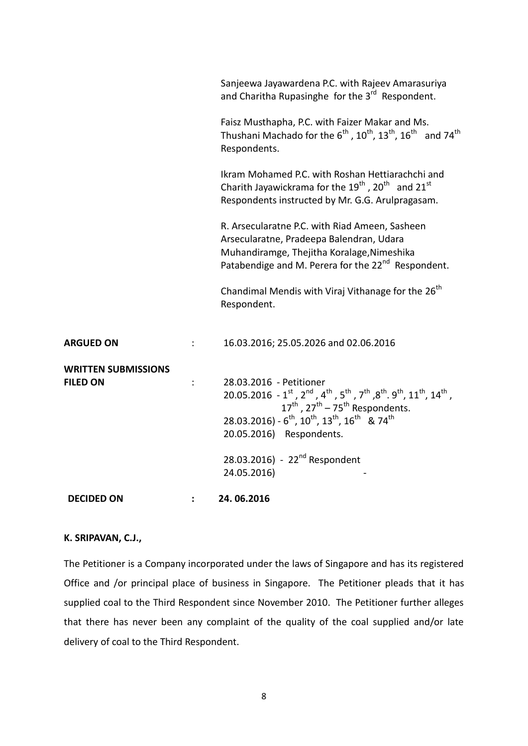| <b>DECIDED ON</b>                             | $\ddot{\phantom{a}}$ | 24.06.2016                                                                                                                                                                                                 |
|-----------------------------------------------|----------------------|------------------------------------------------------------------------------------------------------------------------------------------------------------------------------------------------------------|
|                                               |                      | 28.03.2016) - 22 <sup>nd</sup> Respondent<br>24.05.2016)                                                                                                                                                   |
|                                               |                      | 20.05.2016) Respondents.                                                                                                                                                                                   |
|                                               |                      | 28.03.2016) - $6^{th}$ , $10^{th}$ , $13^{th}$ , $16^{th}$ & $74^{th}$                                                                                                                                     |
|                                               |                      | $17^{\text{th}}$ , $27^{\text{th}}$ – $75^{\text{th}}$ Respondents.                                                                                                                                        |
| <b>WRITTEN SUBMISSIONS</b><br><b>FILED ON</b> | $\ddot{\cdot}$       | 28.03.2016 - Petitioner<br>20.05.2016 - $1^{st}$ , $2^{nd}$ , $4^{th}$ , $5^{th}$ , $7^{th}$ , $8^{th}$ . $9^{th}$ , $11^{th}$ , $14^{th}$ ,                                                               |
| <b>ARGUED ON</b>                              | $\ddot{\phantom{a}}$ | 16.03.2016; 25.05.2026 and 02.06.2016                                                                                                                                                                      |
|                                               |                      | Chandimal Mendis with Viraj Vithanage for the 26 <sup>th</sup><br>Respondent.                                                                                                                              |
|                                               |                      | R. Arsecularatne P.C. with Riad Ameen, Sasheen<br>Arsecularatne, Pradeepa Balendran, Udara<br>Muhandiramge, Thejitha Koralage, Nimeshika<br>Patabendige and M. Perera for the 22 <sup>nd</sup> Respondent. |
|                                               |                      | Ikram Mohamed P.C. with Roshan Hettiarachchi and<br>Charith Jayawickrama for the $19^{th}$ , 20 <sup>th</sup> and 21 <sup>st</sup><br>Respondents instructed by Mr. G.G. Arulpragasam.                     |
|                                               |                      | Faisz Musthapha, P.C. with Faizer Makar and Ms.<br>Thushani Machado for the $6^{th}$ , $10^{th}$ , $13^{th}$ , $16^{th}$ and $74^{th}$<br>Respondents.                                                     |
|                                               |                      | Sanjeewa Jayawardena P.C. with Rajeev Amarasuriya<br>and Charitha Rupasinghe for the 3 <sup>rd</sup> Respondent.                                                                                           |

### **K. SRIPAVAN, C.J.,**

The Petitioner is a Company incorporated under the laws of Singapore and has its registered Office and /or principal place of business in Singapore. The Petitioner pleads that it has supplied coal to the Third Respondent since November 2010. The Petitioner further alleges that there has never been any complaint of the quality of the coal supplied and/or late delivery of coal to the Third Respondent.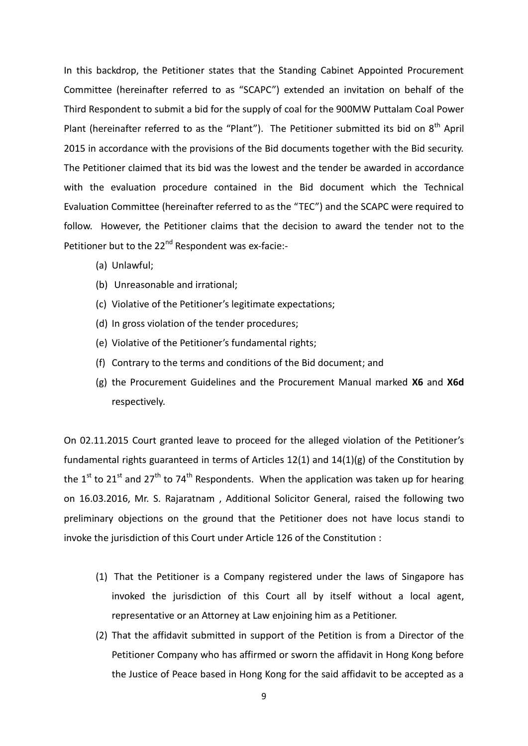In this backdrop, the Petitioner states that the Standing Cabinet Appointed Procurement Committee (hereinafter referred to as "SCAPC") extended an invitation on behalf of the Third Respondent to submit a bid for the supply of coal for the 900MW Puttalam Coal Power Plant (hereinafter referred to as the "Plant"). The Petitioner submitted its bid on  $8<sup>th</sup>$  April 2015 in accordance with the provisions of the Bid documents together with the Bid security. The Petitioner claimed that its bid was the lowest and the tender be awarded in accordance with the evaluation procedure contained in the Bid document which the Technical Evaluation Committee (hereinafter referred to as the "TEC") and the SCAPC were required to follow. However, the Petitioner claims that the decision to award the tender not to the Petitioner but to the 22<sup>nd</sup> Respondent was ex-facie:-

- (a) Unlawful;
- (b) Unreasonable and irrational;
- (c) Violative of the Petitioner's legitimate expectations;
- (d) In gross violation of the tender procedures;
- (e) Violative of the Petitioner's fundamental rights;
- (f) Contrary to the terms and conditions of the Bid document; and
- (g) the Procurement Guidelines and the Procurement Manual marked **X6** and **X6d**  respectively.

On 02.11.2015 Court granted leave to proceed for the alleged violation of the Petitioner's fundamental rights guaranteed in terms of Articles 12(1) and 14(1)(g) of the Constitution by the 1<sup>st</sup> to 21<sup>st</sup> and 27<sup>th</sup> to 74<sup>th</sup> Respondents. When the application was taken up for hearing on 16.03.2016, Mr. S. Rajaratnam , Additional Solicitor General, raised the following two preliminary objections on the ground that the Petitioner does not have locus standi to invoke the jurisdiction of this Court under Article 126 of the Constitution :

- (1) That the Petitioner is a Company registered under the laws of Singapore has invoked the jurisdiction of this Court all by itself without a local agent, representative or an Attorney at Law enjoining him as a Petitioner.
- (2) That the affidavit submitted in support of the Petition is from a Director of the Petitioner Company who has affirmed or sworn the affidavit in Hong Kong before the Justice of Peace based in Hong Kong for the said affidavit to be accepted as a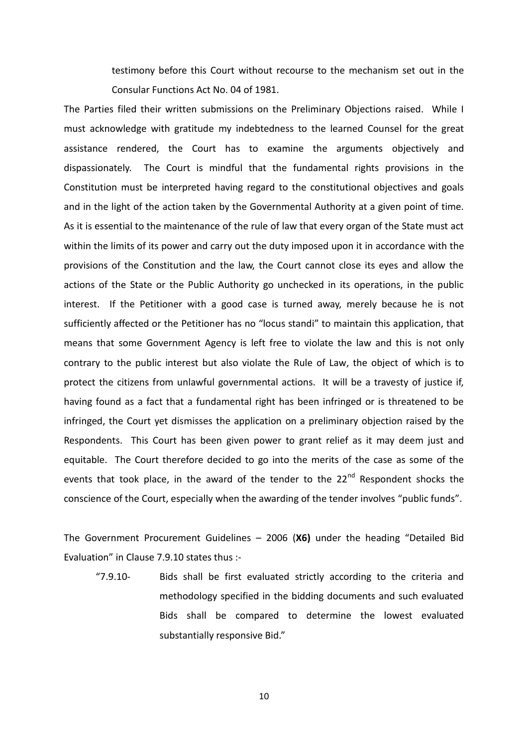testimony before this Court without recourse to the mechanism set out in the Consular Functions Act No. 04 of 1981.

The Parties filed their written submissions on the Preliminary Objections raised. While I must acknowledge with gratitude my indebtedness to the learned Counsel for the great assistance rendered, the Court has to examine the arguments objectively and dispassionately. The Court is mindful that the fundamental rights provisions in the Constitution must be interpreted having regard to the constitutional objectives and goals and in the light of the action taken by the Governmental Authority at a given point of time. As it is essential to the maintenance of the rule of law that every organ of the State must act within the limits of its power and carry out the duty imposed upon it in accordance with the provisions of the Constitution and the law, the Court cannot close its eyes and allow the actions of the State or the Public Authority go unchecked in its operations, in the public interest. If the Petitioner with a good case is turned away, merely because he is not sufficiently affected or the Petitioner has no "locus standi" to maintain this application, that means that some Government Agency is left free to violate the law and this is not only contrary to the public interest but also violate the Rule of Law, the object of which is to protect the citizens from unlawful governmental actions. It will be a travesty of justice if, having found as a fact that a fundamental right has been infringed or is threatened to be infringed, the Court yet dismisses the application on a preliminary objection raised by the Respondents. This Court has been given power to grant relief as it may deem just and equitable. The Court therefore decided to go into the merits of the case as some of the events that took place, in the award of the tender to the  $22^{nd}$  Respondent shocks the conscience of the Court, especially when the awarding of the tender involves "public funds".

The Government Procurement Guidelines – 2006 (**X6)** under the heading "Detailed Bid Evaluation" in Clause 7.9.10 states thus :-

"7.9.10- Bids shall be first evaluated strictly according to the criteria and methodology specified in the bidding documents and such evaluated Bids shall be compared to determine the lowest evaluated substantially responsive Bid."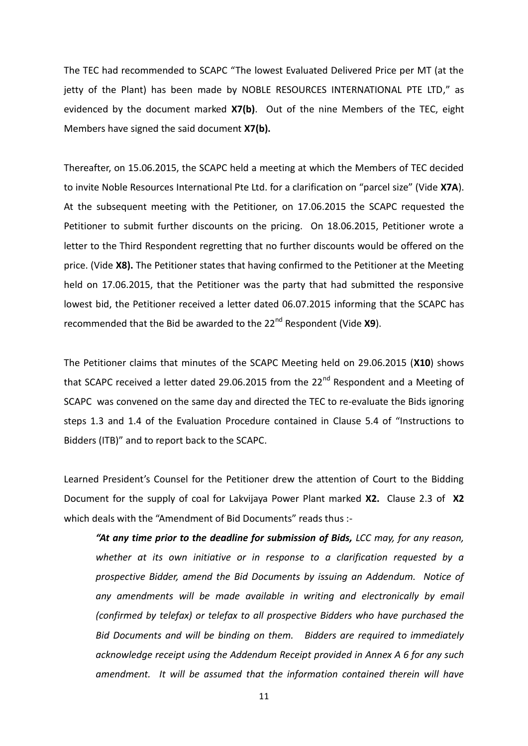The TEC had recommended to SCAPC "The lowest Evaluated Delivered Price per MT (at the jetty of the Plant) has been made by NOBLE RESOURCES INTERNATIONAL PTE LTD," as evidenced by the document marked **X7(b)**. Out of the nine Members of the TEC, eight Members have signed the said document **X7(b).**

Thereafter, on 15.06.2015, the SCAPC held a meeting at which the Members of TEC decided to invite Noble Resources International Pte Ltd. for a clarification on "parcel size" (Vide **X7A**). At the subsequent meeting with the Petitioner, on 17.06.2015 the SCAPC requested the Petitioner to submit further discounts on the pricing. On 18.06.2015, Petitioner wrote a letter to the Third Respondent regretting that no further discounts would be offered on the price. (Vide **X8).** The Petitioner states that having confirmed to the Petitioner at the Meeting held on 17.06.2015, that the Petitioner was the party that had submitted the responsive lowest bid, the Petitioner received a letter dated 06.07.2015 informing that the SCAPC has recommended that the Bid be awarded to the 22<sup>nd</sup> Respondent (Vide **X9**).

The Petitioner claims that minutes of the SCAPC Meeting held on 29.06.2015 (**X10**) shows that SCAPC received a letter dated 29.06.2015 from the 22 $^{nd}$  Respondent and a Meeting of SCAPC was convened on the same day and directed the TEC to re-evaluate the Bids ignoring steps 1.3 and 1.4 of the Evaluation Procedure contained in Clause 5.4 of "Instructions to Bidders (ITB)" and to report back to the SCAPC.

Learned President's Counsel for the Petitioner drew the attention of Court to the Bidding Document for the supply of coal for Lakvijaya Power Plant marked **X2.** Clause 2.3 of **X2** which deals with the "Amendment of Bid Documents" reads thus :-

*"At any time prior to the deadline for submission of Bids, LCC may, for any reason, whether at its own initiative or in response to a clarification requested by a prospective Bidder, amend the Bid Documents by issuing an Addendum. Notice of*  any amendments will be made available in writing and electronically by email *(confirmed by telefax) or telefax to all prospective Bidders who have purchased the Bid Documents and will be binding on them. Bidders are required to immediately acknowledge receipt using the Addendum Receipt provided in Annex A 6 for any such amendment. It will be assumed that the information contained therein will have*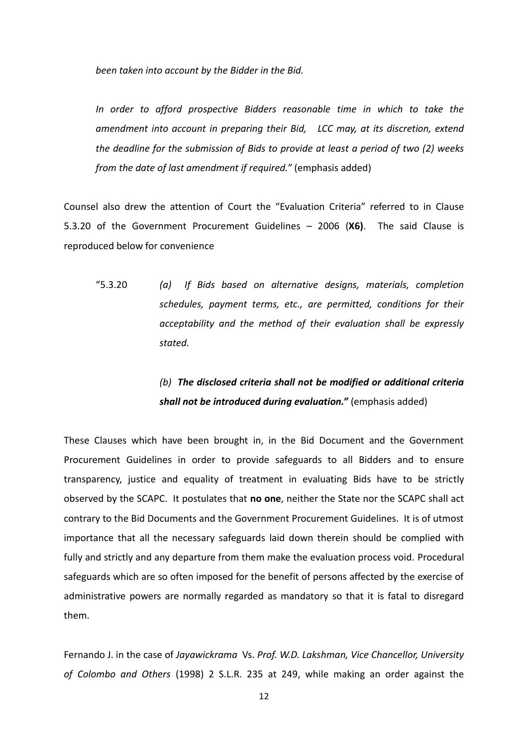*been taken into account by the Bidder in the Bid.*

In order to afford prospective Bidders reasonable time in which to take the *amendment into account in preparing their Bid, LCC may, at its discretion, extend the deadline for the submission of Bids to provide at least a period of two (2) weeks from the date of last amendment if required."* (emphasis added)

Counsel also drew the attention of Court the "Evaluation Criteria" referred to in Clause 5.3.20 of the Government Procurement Guidelines – 2006 (**X6)**. The said Clause is reproduced below for convenience

"5.3.20 *(a) If Bids based on alternative designs, materials, completion schedules, payment terms, etc., are permitted, conditions for their acceptability and the method of their evaluation shall be expressly stated.*

# *(b) The disclosed criteria shall not be modified or additional criteria shall not be introduced during evaluation."* (emphasis added)

These Clauses which have been brought in, in the Bid Document and the Government Procurement Guidelines in order to provide safeguards to all Bidders and to ensure transparency, justice and equality of treatment in evaluating Bids have to be strictly observed by the SCAPC. It postulates that **no one**, neither the State nor the SCAPC shall act contrary to the Bid Documents and the Government Procurement Guidelines. It is of utmost importance that all the necessary safeguards laid down therein should be complied with fully and strictly and any departure from them make the evaluation process void. Procedural safeguards which are so often imposed for the benefit of persons affected by the exercise of administrative powers are normally regarded as mandatory so that it is fatal to disregard them.

Fernando J. in the case of *Jayawickrama* Vs. *Prof. W.D. Lakshman, Vice Chancellor, University of Colombo and Others* (1998) 2 S.L.R. 235 at 249, while making an order against the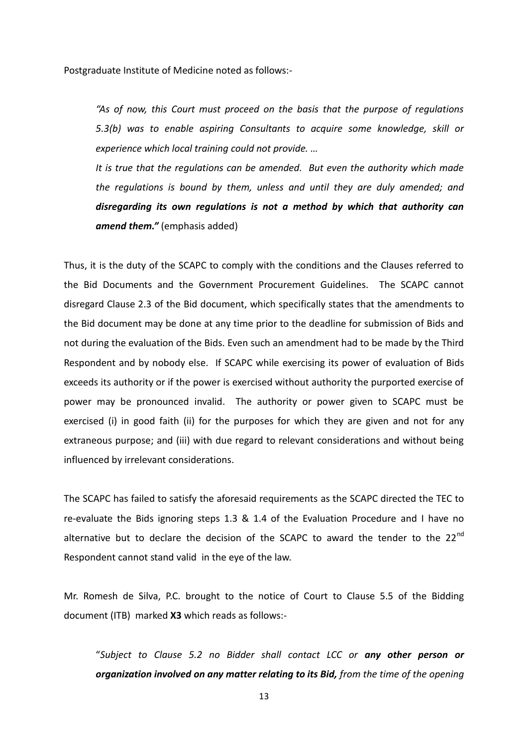Postgraduate Institute of Medicine noted as follows:-

*"As of now, this Court must proceed on the basis that the purpose of regulations 5.3(b) was to enable aspiring Consultants to acquire some knowledge, skill or experience which local training could not provide. …*

*It is true that the regulations can be amended. But even the authority which made the regulations is bound by them, unless and until they are duly amended; and disregarding its own regulations is not a method by which that authority can amend them."* (emphasis added)

Thus, it is the duty of the SCAPC to comply with the conditions and the Clauses referred to the Bid Documents and the Government Procurement Guidelines. The SCAPC cannot disregard Clause 2.3 of the Bid document, which specifically states that the amendments to the Bid document may be done at any time prior to the deadline for submission of Bids and not during the evaluation of the Bids. Even such an amendment had to be made by the Third Respondent and by nobody else. If SCAPC while exercising its power of evaluation of Bids exceeds its authority or if the power is exercised without authority the purported exercise of power may be pronounced invalid. The authority or power given to SCAPC must be exercised (i) in good faith (ii) for the purposes for which they are given and not for any extraneous purpose; and (iii) with due regard to relevant considerations and without being influenced by irrelevant considerations.

The SCAPC has failed to satisfy the aforesaid requirements as the SCAPC directed the TEC to re-evaluate the Bids ignoring steps 1.3 & 1.4 of the Evaluation Procedure and I have no alternative but to declare the decision of the SCAPC to award the tender to the  $22^{nd}$ Respondent cannot stand valid in the eye of the law.

Mr. Romesh de Silva, P.C. brought to the notice of Court to Clause 5.5 of the Bidding document (ITB) marked **X3** which reads as follows:-

"*Subject to Clause 5.2 no Bidder shall contact LCC or any other person or organization involved on any matter relating to its Bid, from the time of the opening*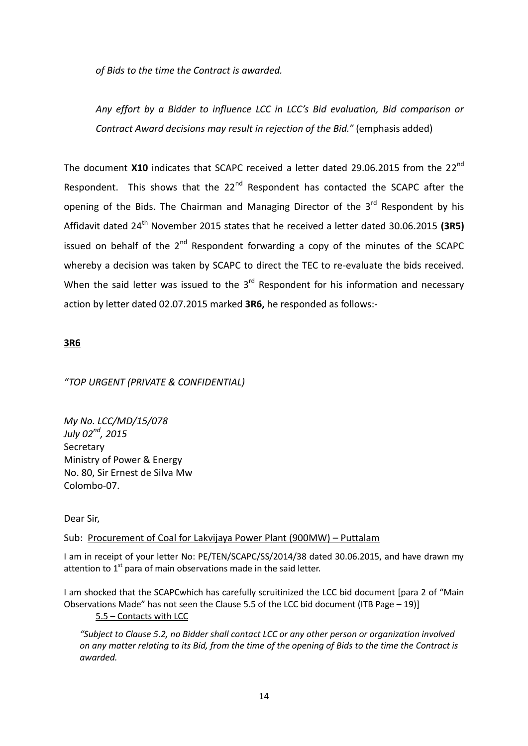*of Bids to the time the Contract is awarded.*

*Any effort by a Bidder to influence LCC in LCC's Bid evaluation, Bid comparison or Contract Award decisions may result in rejection of the Bid."* (emphasis added)

The document X10 indicates that SCAPC received a letter dated 29.06.2015 from the 22<sup>nd</sup> Respondent. This shows that the 22<sup>nd</sup> Respondent has contacted the SCAPC after the opening of the Bids. The Chairman and Managing Director of the  $3<sup>rd</sup>$  Respondent by his Affidavit dated 24 th November 2015 states that he received a letter dated 30.06.2015 **(3R5)** issued on behalf of the  $2^{nd}$  Respondent forwarding a copy of the minutes of the SCAPC whereby a decision was taken by SCAPC to direct the TEC to re-evaluate the bids received. When the said letter was issued to the  $3<sup>rd</sup>$  Respondent for his information and necessary action by letter dated 02.07.2015 marked **3R6,** he responded as follows:-

## **3R6**

## *"TOP URGENT (PRIVATE & CONFIDENTIAL)*

*My No. LCC/MD/15/078 July 02nd, 2015* Secretary Ministry of Power & Energy No. 80, Sir Ernest de Silva Mw Colombo-07.

Dear Sir,

## Sub: Procurement of Coal for Lakvijaya Power Plant (900MW) – Puttalam

I am in receipt of your letter No: PE/TEN/SCAPC/SS/2014/38 dated 30.06.2015, and have drawn my attention to  $1<sup>st</sup>$  para of main observations made in the said letter.

I am shocked that the SCAPCwhich has carefully scruitinized the LCC bid document [para 2 of "Main Observations Made" has not seen the Clause 5.5 of the LCC bid document (ITB Page – 19)] 5.5 – Contacts with LCC

*"Subject to Clause 5.2, no Bidder shall contact LCC or any other person or organization involved on any matter relating to its Bid, from the time of the opening of Bids to the time the Contract is awarded.*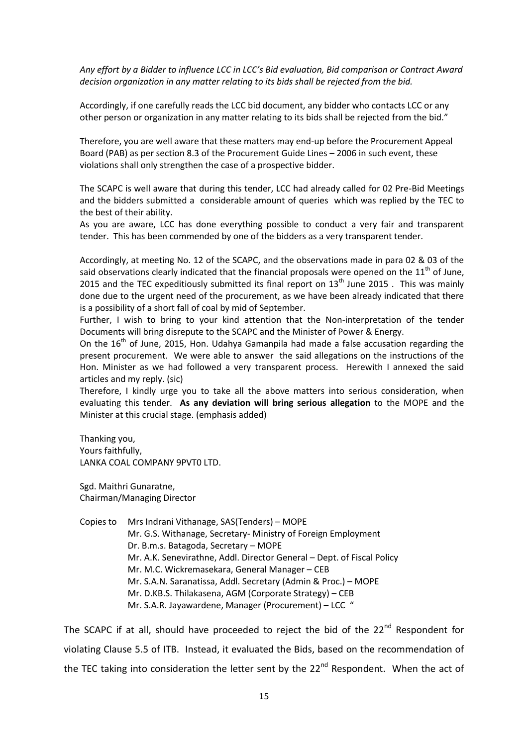*Any effort by a Bidder to influence LCC in LCC's Bid evaluation, Bid comparison or Contract Award decision organization in any matter relating to its bids shall be rejected from the bid.*

Accordingly, if one carefully reads the LCC bid document, any bidder who contacts LCC or any other person or organization in any matter relating to its bids shall be rejected from the bid."

Therefore, you are well aware that these matters may end-up before the Procurement Appeal Board (PAB) as per section 8.3 of the Procurement Guide Lines – 2006 in such event, these violations shall only strengthen the case of a prospective bidder.

The SCAPC is well aware that during this tender, LCC had already called for 02 Pre-Bid Meetings and the bidders submitted a considerable amount of queries which was replied by the TEC to the best of their ability.

As you are aware, LCC has done everything possible to conduct a very fair and transparent tender. This has been commended by one of the bidders as a very transparent tender.

Accordingly, at meeting No. 12 of the SCAPC, and the observations made in para 02 & 03 of the said observations clearly indicated that the financial proposals were opened on the  $11<sup>th</sup>$  of June, 2015 and the TEC expeditiously submitted its final report on  $13<sup>th</sup>$  June 2015 . This was mainly done due to the urgent need of the procurement, as we have been already indicated that there is a possibility of a short fall of coal by mid of September.

Further, I wish to bring to your kind attention that the Non-interpretation of the tender Documents will bring disrepute to the SCAPC and the Minister of Power & Energy.

On the  $16<sup>th</sup>$  of June, 2015, Hon. Udahya Gamanpila had made a false accusation regarding the present procurement. We were able to answer the said allegations on the instructions of the Hon. Minister as we had followed a very transparent process. Herewith I annexed the said articles and my reply. (sic)

Therefore, I kindly urge you to take all the above matters into serious consideration, when evaluating this tender. **As any deviation will bring serious allegation** to the MOPE and the Minister at this crucial stage. (emphasis added)

Thanking you, Yours faithfully, LANKA COAL COMPANY 9PVT0 LTD.

Sgd. Maithri Gunaratne, Chairman/Managing Director

Copies to Mrs Indrani Vithanage, SAS(Tenders) – MOPE Mr. G.S. Withanage, Secretary- Ministry of Foreign Employment Dr. B.m.s. Batagoda, Secretary – MOPE Mr. A.K. Senevirathne, Addl. Director General – Dept. of Fiscal Policy Mr. M.C. Wickremasekara, General Manager – CEB Mr. S.A.N. Saranatissa, Addl. Secretary (Admin & Proc.) – MOPE Mr. D.KB.S. Thilakasena, AGM (Corporate Strategy) – CEB Mr. S.A.R. Jayawardene, Manager (Procurement) – LCC "

The SCAPC if at all, should have proceeded to reject the bid of the 22<sup>nd</sup> Respondent for violating Clause 5.5 of ITB. Instead, it evaluated the Bids, based on the recommendation of the TEC taking into consideration the letter sent by the  $22^{nd}$  Respondent. When the act of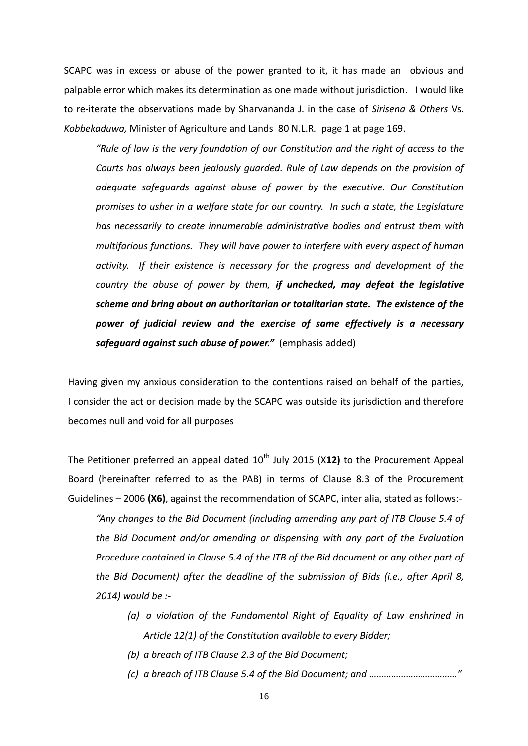SCAPC was in excess or abuse of the power granted to it, it has made an obvious and palpable error which makes its determination as one made without jurisdiction. I would like to re-iterate the observations made by Sharvananda J. in the case of *Sirisena & Others* Vs. *Kobbekaduwa,* Minister of Agriculture and Lands 80 N.L.R*.* page 1 at page 169.

*"Rule of law is the very foundation of our Constitution and the right of access to the Courts has always been jealously guarded. Rule of Law depends on the provision of adequate safeguards against abuse of power by the executive. Our Constitution promises to usher in a welfare state for our country. In such a state, the Legislature has necessarily to create innumerable administrative bodies and entrust them with multifarious functions. They will have power to interfere with every aspect of human activity. If their existence is necessary for the progress and development of the country the abuse of power by them, if unchecked, may defeat the legislative scheme and bring about an authoritarian or totalitarian state. The existence of the power of judicial review and the exercise of same effectively is a necessary safeguard against such abuse of power."* (emphasis added)

Having given my anxious consideration to the contentions raised on behalf of the parties, I consider the act or decision made by the SCAPC was outside its jurisdiction and therefore becomes null and void for all purposes

The Petitioner preferred an appeal dated 10<sup>th</sup> July 2015 (X12) to the Procurement Appeal Board (hereinafter referred to as the PAB) in terms of Clause 8.3 of the Procurement Guidelines – 2006 **(X6)**, against the recommendation of SCAPC, inter alia, stated as follows:-

*"Any changes to the Bid Document (including amending any part of ITB Clause 5.4 of the Bid Document and/or amending or dispensing with any part of the Evaluation Procedure contained in Clause 5.4 of the ITB of the Bid document or any other part of the Bid Document) after the deadline of the submission of Bids (i.e., after April 8, 2014) would be :-*

- *(a) a violation of the Fundamental Right of Equality of Law enshrined in Article 12(1) of the Constitution available to every Bidder;*
- *(b) a breach of ITB Clause 2.3 of the Bid Document;*
- *(c) a breach of ITB Clause 5.4 of the Bid Document; and ………………………………"*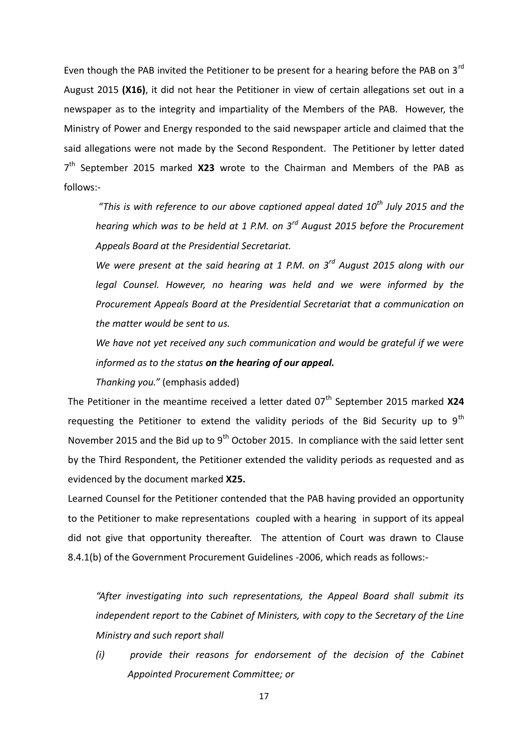Even though the PAB invited the Petitioner to be present for a hearing before the PAB on  $3<sup>rd</sup>$ August 2015 **(X16)**, it did not hear the Petitioner in view of certain allegations set out in a newspaper as to the integrity and impartiality of the Members of the PAB. However, the Ministry of Power and Energy responded to the said newspaper article and claimed that the said allegations were not made by the Second Respondent. The Petitioner by letter dated 7<sup>th</sup> September 2015 marked X23 wrote to the Chairman and Members of the PAB as follows:-

*"This is with reference to our above captioned appeal dated 10th July 2015 and the hearing which was to be held at 1 P.M. on 3rd August 2015 before the Procurement Appeals Board at the Presidential Secretariat.*

*We were present at the said hearing at 1 P.M. on 3rd August 2015 along with our legal Counsel. However, no hearing was held and we were informed by the Procurement Appeals Board at the Presidential Secretariat that a communication on the matter would be sent to us.*

*We have not yet received any such communication and would be grateful if we were informed as to the status on the hearing of our appeal.*

*Thanking you."* (emphasis added)

The Petitioner in the meantime received a letter dated 07<sup>th</sup> September 2015 marked X24 requesting the Petitioner to extend the validity periods of the Bid Security up to  $9<sup>th</sup>$ November 2015 and the Bid up to  $9<sup>th</sup>$  October 2015. In compliance with the said letter sent by the Third Respondent, the Petitioner extended the validity periods as requested and as evidenced by the document marked **X25.**

Learned Counsel for the Petitioner contended that the PAB having provided an opportunity to the Petitioner to make representations coupled with a hearing in support of its appeal did not give that opportunity thereafter. The attention of Court was drawn to Clause 8.4.1(b) of the Government Procurement Guidelines -2006, which reads as follows:-

*"After investigating into such representations, the Appeal Board shall submit its independent report to the Cabinet of Ministers, with copy to the Secretary of the Line Ministry and such report shall*

*(i) provide their reasons for endorsement of the decision of the Cabinet Appointed Procurement Committee; or*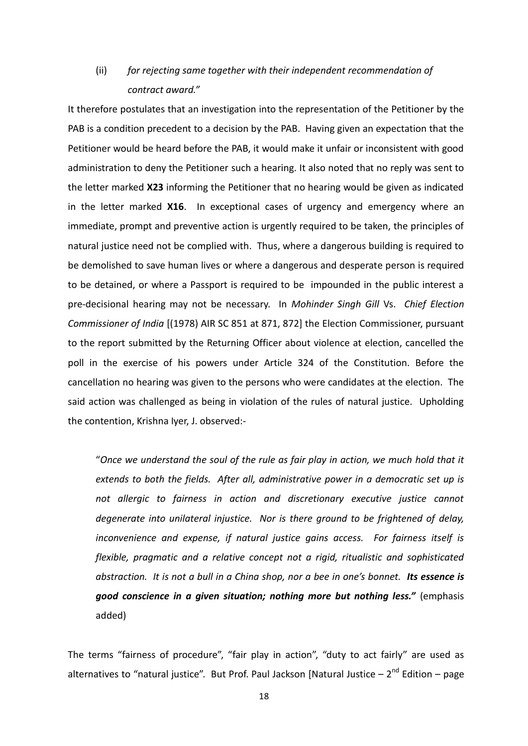# (ii) *for rejecting same together with their independent recommendation of contract award."*

It therefore postulates that an investigation into the representation of the Petitioner by the PAB is a condition precedent to a decision by the PAB. Having given an expectation that the Petitioner would be heard before the PAB, it would make it unfair or inconsistent with good administration to deny the Petitioner such a hearing. It also noted that no reply was sent to the letter marked **X23** informing the Petitioner that no hearing would be given as indicated in the letter marked **X16**. In exceptional cases of urgency and emergency where an immediate, prompt and preventive action is urgently required to be taken, the principles of natural justice need not be complied with. Thus, where a dangerous building is required to be demolished to save human lives or where a dangerous and desperate person is required to be detained, or where a Passport is required to be impounded in the public interest a pre-decisional hearing may not be necessary. In *Mohinder Singh Gill* Vs. *Chief Election Commissioner of India* [(1978) AIR SC 851 at 871, 872] the Election Commissioner, pursuant to the report submitted by the Returning Officer about violence at election, cancelled the poll in the exercise of his powers under Article 324 of the Constitution. Before the cancellation no hearing was given to the persons who were candidates at the election. The said action was challenged as being in violation of the rules of natural justice. Upholding the contention, Krishna Iyer, J. observed:-

"*Once we understand the soul of the rule as fair play in action, we much hold that it extends to both the fields. After all, administrative power in a democratic set up is not allergic to fairness in action and discretionary executive justice cannot degenerate into unilateral injustice. Nor is there ground to be frightened of delay, inconvenience and expense, if natural justice gains access. For fairness itself is flexible, pragmatic and a relative concept not a rigid, ritualistic and sophisticated abstraction. It is not a bull in a China shop, nor a bee in one's bonnet. Its essence is good conscience in a given situation; nothing more but nothing less."* (emphasis added)

The terms "fairness of procedure", "fair play in action", "duty to act fairly" are used as alternatives to "natural justice". But Prof. Paul Jackson [Natural Justice – 2<sup>nd</sup> Edition – page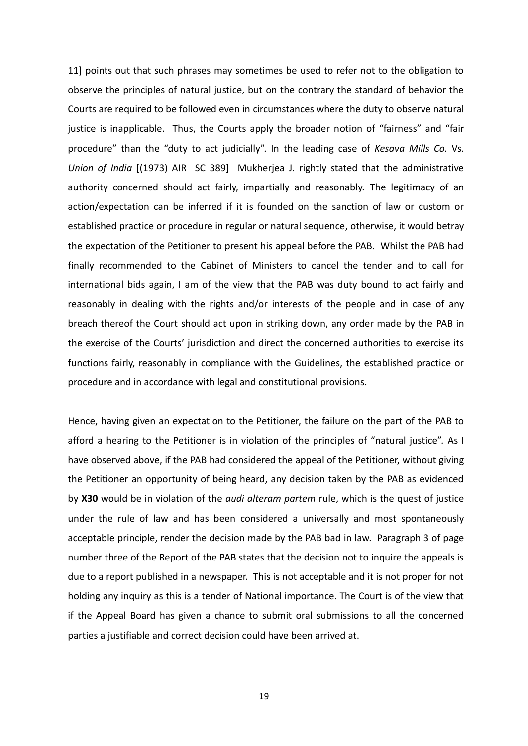11] points out that such phrases may sometimes be used to refer not to the obligation to observe the principles of natural justice, but on the contrary the standard of behavior the Courts are required to be followed even in circumstances where the duty to observe natural justice is inapplicable. Thus, the Courts apply the broader notion of "fairness" and "fair procedure" than the "duty to act judicially". In the leading case of *Kesava Mills Co.* Vs. *Union of India* [(1973) AIR SC 389] Mukherjea J. rightly stated that the administrative authority concerned should act fairly, impartially and reasonably. The legitimacy of an action/expectation can be inferred if it is founded on the sanction of law or custom or established practice or procedure in regular or natural sequence, otherwise, it would betray the expectation of the Petitioner to present his appeal before the PAB. Whilst the PAB had finally recommended to the Cabinet of Ministers to cancel the tender and to call for international bids again, I am of the view that the PAB was duty bound to act fairly and reasonably in dealing with the rights and/or interests of the people and in case of any breach thereof the Court should act upon in striking down, any order made by the PAB in the exercise of the Courts' jurisdiction and direct the concerned authorities to exercise its functions fairly, reasonably in compliance with the Guidelines, the established practice or procedure and in accordance with legal and constitutional provisions.

Hence, having given an expectation to the Petitioner, the failure on the part of the PAB to afford a hearing to the Petitioner is in violation of the principles of "natural justice". As I have observed above, if the PAB had considered the appeal of the Petitioner, without giving the Petitioner an opportunity of being heard, any decision taken by the PAB as evidenced by **X30** would be in violation of the *audi alteram partem* rule, which is the quest of justice under the rule of law and has been considered a universally and most spontaneously acceptable principle, render the decision made by the PAB bad in law. Paragraph 3 of page number three of the Report of the PAB states that the decision not to inquire the appeals is due to a report published in a newspaper. This is not acceptable and it is not proper for not holding any inquiry as this is a tender of National importance. The Court is of the view that if the Appeal Board has given a chance to submit oral submissions to all the concerned parties a justifiable and correct decision could have been arrived at.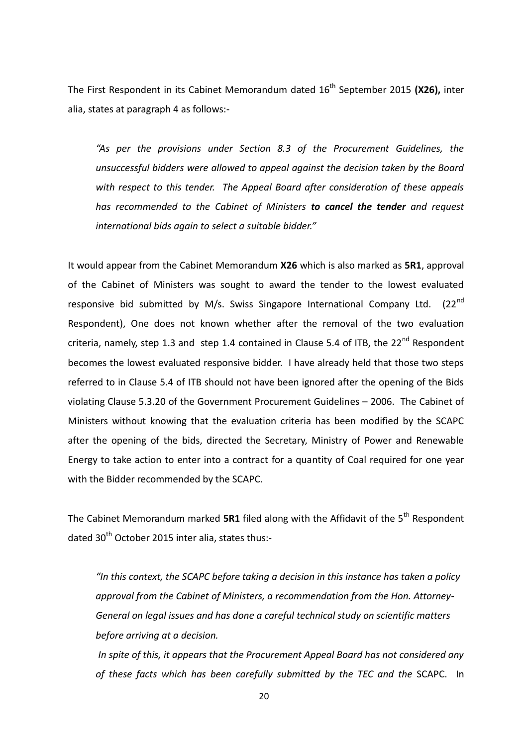The First Respondent in its Cabinet Memorandum dated 16<sup>th</sup> September 2015 (X26), inter alia, states at paragraph 4 as follows:-

*"As per the provisions under Section 8.3 of the Procurement Guidelines, the unsuccessful bidders were allowed to appeal against the decision taken by the Board with respect to this tender. The Appeal Board after consideration of these appeals has recommended to the Cabinet of Ministers to cancel the tender and request international bids again to select a suitable bidder."*

It would appear from the Cabinet Memorandum **X26** which is also marked as **5R1**, approval of the Cabinet of Ministers was sought to award the tender to the lowest evaluated responsive bid submitted by M/s. Swiss Singapore International Company Ltd.  $(22^{nd}$ Respondent), One does not known whether after the removal of the two evaluation criteria, namely, step 1.3 and step 1.4 contained in Clause 5.4 of ITB, the  $22^{nd}$  Respondent becomes the lowest evaluated responsive bidder. I have already held that those two steps referred to in Clause 5.4 of ITB should not have been ignored after the opening of the Bids violating Clause 5.3.20 of the Government Procurement Guidelines – 2006. The Cabinet of Ministers without knowing that the evaluation criteria has been modified by the SCAPC after the opening of the bids, directed the Secretary, Ministry of Power and Renewable Energy to take action to enter into a contract for a quantity of Coal required for one year with the Bidder recommended by the SCAPC.

The Cabinet Memorandum marked **5R1** filed along with the Affidavit of the 5<sup>th</sup> Respondent dated 30<sup>th</sup> October 2015 inter alia, states thus:-

*"In this context, the SCAPC before taking a decision in this instance has taken a policy approval from the Cabinet of Ministers, a recommendation from the Hon. Attorney-General on legal issues and has done a careful technical study on scientific matters before arriving at a decision.*

*In spite of this, it appears that the Procurement Appeal Board has not considered any of these facts which has been carefully submitted by the TEC and the* SCAPC. In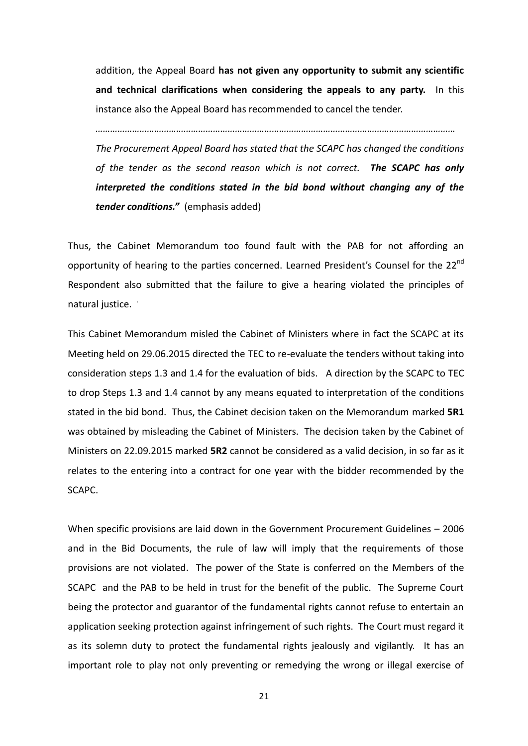addition, the Appeal Board **has not given any opportunity to submit any scientific and technical clarifications when considering the appeals to any party.** In this instance also the Appeal Board has recommended to cancel the tender.

*…………………………………………………………………………………………………………………………………*

*The Procurement Appeal Board has stated that the SCAPC has changed the conditions of the tender as the second reason which is not correct. The SCAPC has only interpreted the conditions stated in the bid bond without changing any of the tender conditions."* (emphasis added)

Thus, the Cabinet Memorandum too found fault with the PAB for not affording an opportunity of hearing to the parties concerned. Learned President's Counsel for the 22<sup>nd</sup> Respondent also submitted that the failure to give a hearing violated the principles of natural justice.

This Cabinet Memorandum misled the Cabinet of Ministers where in fact the SCAPC at its Meeting held on 29.06.2015 directed the TEC to re-evaluate the tenders without taking into consideration steps 1.3 and 1.4 for the evaluation of bids.A direction by the SCAPC to TEC to drop Steps 1.3 and 1.4 cannot by any means equated to interpretation of the conditions stated in the bid bond. Thus, the Cabinet decision taken on the Memorandum marked **5R1**  was obtained by misleading the Cabinet of Ministers. The decision taken by the Cabinet of Ministers on 22.09.2015 marked **5R2** cannot be considered as a valid decision, in so far as it relates to the entering into a contract for one year with the bidder recommended by the SCAPC.

When specific provisions are laid down in the Government Procurement Guidelines – 2006 and in the Bid Documents, the rule of law will imply that the requirements of those provisions are not violated. The power of the State is conferred on the Members of the SCAPC and the PAB to be held in trust for the benefit of the public. The Supreme Court being the protector and guarantor of the fundamental rights cannot refuse to entertain an application seeking protection against infringement of such rights. The Court must regard it as its solemn duty to protect the fundamental rights jealously and vigilantly. It has an important role to play not only preventing or remedying the wrong or illegal exercise of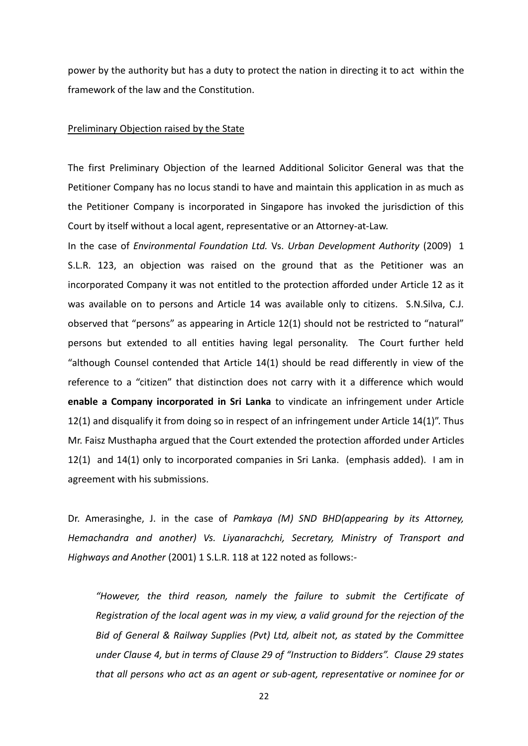power by the authority but has a duty to protect the nation in directing it to act within the framework of the law and the Constitution.

#### Preliminary Objection raised by the State

The first Preliminary Objection of the learned Additional Solicitor General was that the Petitioner Company has no locus standi to have and maintain this application in as much as the Petitioner Company is incorporated in Singapore has invoked the jurisdiction of this Court by itself without a local agent, representative or an Attorney-at-Law.

In the case of *Environmental Foundation Ltd.* Vs. *Urban Development Authority* (2009) 1 S.L.R. 123, an objection was raised on the ground that as the Petitioner was an incorporated Company it was not entitled to the protection afforded under Article 12 as it was available on to persons and Article 14 was available only to citizens. S.N.Silva, C.J. observed that "persons" as appearing in Article 12(1) should not be restricted to "natural" persons but extended to all entities having legal personality. The Court further held "although Counsel contended that Article 14(1) should be read differently in view of the reference to a "citizen" that distinction does not carry with it a difference which would **enable a Company incorporated in Sri Lanka** to vindicate an infringement under Article 12(1) and disqualify it from doing so in respect of an infringement under Article 14(1)". Thus Mr. Faisz Musthapha argued that the Court extended the protection afforded under Articles 12(1) and 14(1) only to incorporated companies in Sri Lanka. (emphasis added). I am in agreement with his submissions.

Dr. Amerasinghe, J. in the case of *Pamkaya (M) SND BHD(appearing by its Attorney, Hemachandra and another) Vs. Liyanarachchi, Secretary, Ministry of Transport and Highways and Another* (2001) 1 S.L.R. 118 at 122 noted as follows:*-*

*"However, the third reason, namely the failure to submit the Certificate of Registration of the local agent was in my view, a valid ground for the rejection of the Bid of General & Railway Supplies (Pvt) Ltd, albeit not, as stated by the Committee under Clause 4, but in terms of Clause 29 of "Instruction to Bidders". Clause 29 states that all persons who act as an agent or sub-agent, representative or nominee for or*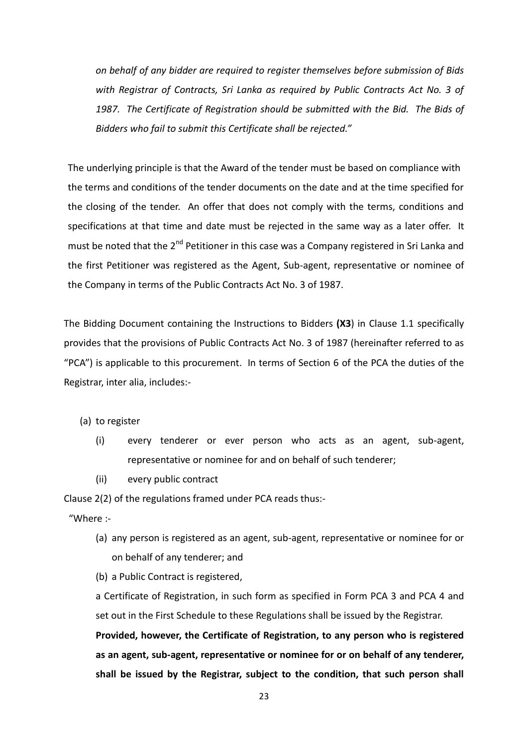*on behalf of any bidder are required to register themselves before submission of Bids with Registrar of Contracts, Sri Lanka as required by Public Contracts Act No. 3 of 1987. The Certificate of Registration should be submitted with the Bid. The Bids of Bidders who fail to submit this Certificate shall be rejected."* 

The underlying principle is that the Award of the tender must be based on compliance with the terms and conditions of the tender documents on the date and at the time specified for the closing of the tender. An offer that does not comply with the terms, conditions and specifications at that time and date must be rejected in the same way as a later offer. It must be noted that the  $2^{nd}$  Petitioner in this case was a Company registered in Sri Lanka and the first Petitioner was registered as the Agent, Sub-agent, representative or nominee of the Company in terms of the Public Contracts Act No. 3 of 1987.

The Bidding Document containing the Instructions to Bidders **(X3**) in Clause 1.1 specifically provides that the provisions of Public Contracts Act No. 3 of 1987 (hereinafter referred to as "PCA") is applicable to this procurement. In terms of Section 6 of the PCA the duties of the Registrar, inter alia, includes:-

(a) to register

- (i) every tenderer or ever person who acts as an agent, sub-agent, representative or nominee for and on behalf of such tenderer;
- (ii) every public contract

Clause 2(2) of the regulations framed under PCA reads thus:-

"Where :-

- (a) any person is registered as an agent, sub-agent, representative or nominee for or on behalf of any tenderer; and
- (b) a Public Contract is registered,

a Certificate of Registration, in such form as specified in Form PCA 3 and PCA 4 and set out in the First Schedule to these Regulations shall be issued by the Registrar.

**Provided, however, the Certificate of Registration, to any person who is registered as an agent, sub-agent, representative or nominee for or on behalf of any tenderer, shall be issued by the Registrar, subject to the condition, that such person shall**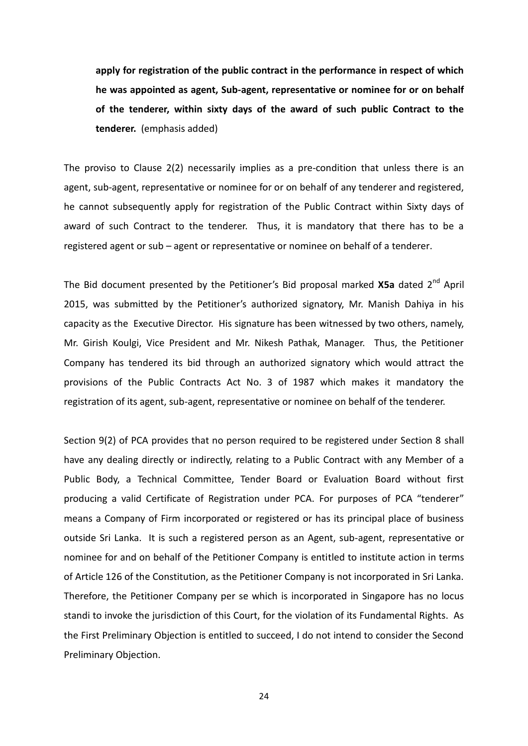**apply for registration of the public contract in the performance in respect of which he was appointed as agent, Sub-agent, representative or nominee for or on behalf of the tenderer, within sixty days of the award of such public Contract to the tenderer.** (emphasis added)

The proviso to Clause 2(2) necessarily implies as a pre-condition that unless there is an agent, sub-agent, representative or nominee for or on behalf of any tenderer and registered, he cannot subsequently apply for registration of the Public Contract within Sixty days of award of such Contract to the tenderer. Thus, it is mandatory that there has to be a registered agent or sub – agent or representative or nominee on behalf of a tenderer.

The Bid document presented by the Petitioner's Bid proposal marked **X5a** dated 2nd April 2015, was submitted by the Petitioner's authorized signatory, Mr. Manish Dahiya in his capacity as the Executive Director. His signature has been witnessed by two others, namely, Mr. Girish Koulgi, Vice President and Mr. Nikesh Pathak, Manager. Thus, the Petitioner Company has tendered its bid through an authorized signatory which would attract the provisions of the Public Contracts Act No. 3 of 1987 which makes it mandatory the registration of its agent, sub-agent, representative or nominee on behalf of the tenderer.

Section 9(2) of PCA provides that no person required to be registered under Section 8 shall have any dealing directly or indirectly, relating to a Public Contract with any Member of a Public Body, a Technical Committee, Tender Board or Evaluation Board without first producing a valid Certificate of Registration under PCA. For purposes of PCA "tenderer" means a Company of Firm incorporated or registered or has its principal place of business outside Sri Lanka. It is such a registered person as an Agent, sub-agent, representative or nominee for and on behalf of the Petitioner Company is entitled to institute action in terms of Article 126 of the Constitution, as the Petitioner Company is not incorporated in Sri Lanka. Therefore, the Petitioner Company per se which is incorporated in Singapore has no locus standi to invoke the jurisdiction of this Court, for the violation of its Fundamental Rights. As the First Preliminary Objection is entitled to succeed, I do not intend to consider the Second Preliminary Objection.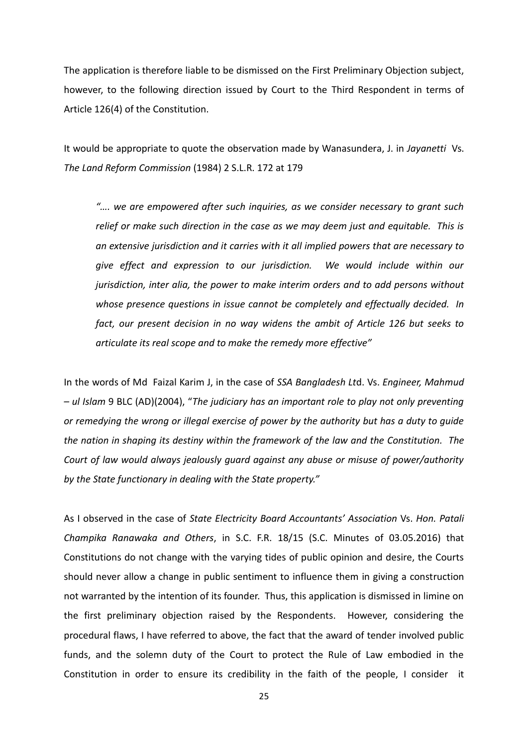The application is therefore liable to be dismissed on the First Preliminary Objection subject, however, to the following direction issued by Court to the Third Respondent in terms of Article 126(4) of the Constitution.

It would be appropriate to quote the observation made by Wanasundera, J. in *Jayanetti* Vs. *The Land Reform Commission* (1984) 2 S.L.R. 172 at 179

*"…. we are empowered after such inquiries, as we consider necessary to grant such relief or make such direction in the case as we may deem just and equitable. This is an extensive jurisdiction and it carries with it all implied powers that are necessary to give effect and expression to our jurisdiction. We would include within our jurisdiction, inter alia, the power to make interim orders and to add persons without whose presence questions in issue cannot be completely and effectually decided. In fact, our present decision in no way widens the ambit of Article 126 but seeks to articulate its real scope and to make the remedy more effective"*

In the words of Md Faizal Karim J, in the case of *SSA Bangladesh Lt*d. Vs. *Engineer, Mahmud – ul Islam* 9 BLC (AD)(2004), "*The judiciary has an important role to play not only preventing or remedying the wrong or illegal exercise of power by the authority but has a duty to guide the nation in shaping its destiny within the framework of the law and the Constitution. The Court of law would always jealously guard against any abuse or misuse of power/authority by the State functionary in dealing with the State property."* 

As I observed in the case of *State Electricity Board Accountants' Association* Vs. *Hon. Patali Champika Ranawaka and Others*, in S.C. F.R. 18/15 (S.C. Minutes of 03.05.2016) that Constitutions do not change with the varying tides of public opinion and desire, the Courts should never allow a change in public sentiment to influence them in giving a construction not warranted by the intention of its founder. Thus, this application is dismissed in limine on the first preliminary objection raised by the Respondents. However, considering the procedural flaws, I have referred to above, the fact that the award of tender involved public funds, and the solemn duty of the Court to protect the Rule of Law embodied in the Constitution in order to ensure its credibility in the faith of the people, I consider it